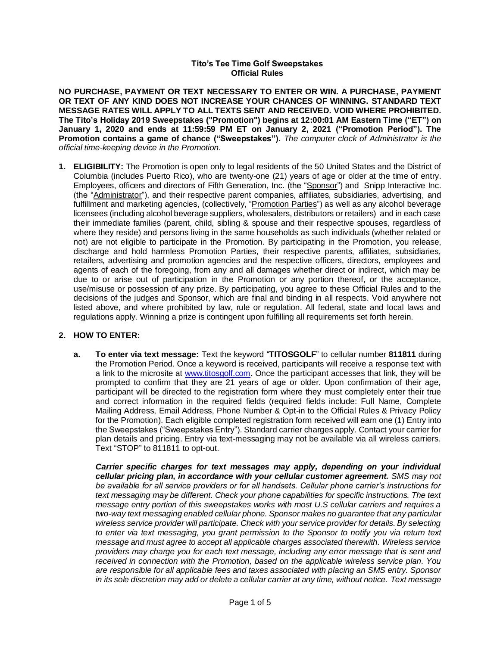## **Tito's Tee Time Golf Sweepstakes Official Rules**

**NO PURCHASE, PAYMENT OR TEXT NECESSARY TO ENTER OR WIN. A PURCHASE, PAYMENT OR TEXT OF ANY KIND DOES NOT INCREASE YOUR CHANCES OF WINNING. STANDARD TEXT MESSAGE RATES WILL APPLY TO ALL TEXTS SENT AND RECEIVED. VOID WHERE PROHIBITED. The Tito's Holiday 2019 Sweepstakes ("Promotion") begins at 12:00:01 AM Eastern Time ("ET") on January 1, 2020 and ends at 11:59:59 PM ET on January 2, 2021 ("Promotion Period"). The Promotion contains a game of chance ("Sweepstakes").** *The computer clock of Administrator is the official time-keeping device in the Promotion.*

**1. ELIGIBILITY:** The Promotion is open only to legal residents of the 50 United States and the District of Columbia (includes Puerto Rico), who are twenty-one (21) years of age or older at the time of entry. Employees, officers and directors of Fifth Generation, Inc. (the "Sponsor") and Snipp Interactive Inc. (the "Administrator"), and their respective parent companies, affiliates, subsidiaries, advertising, and fulfillment and marketing agencies, (collectively, "Promotion Parties") as well as any alcohol beverage licensees (including alcohol beverage suppliers, wholesalers, distributors or retailers) and in each case their immediate families (parent, child, sibling & spouse and their respective spouses, regardless of where they reside) and persons living in the same households as such individuals (whether related or not) are not eligible to participate in the Promotion. By participating in the Promotion, you release, discharge and hold harmless Promotion Parties, their respective parents, affiliates, subsidiaries, retailers, advertising and promotion agencies and the respective officers, directors, employees and agents of each of the foregoing, from any and all damages whether direct or indirect, which may be due to or arise out of participation in the Promotion or any portion thereof, or the acceptance, use/misuse or possession of any prize. By participating, you agree to these Official Rules and to the decisions of the judges and Sponsor, which are final and binding in all respects. Void anywhere not listed above, and where prohibited by law, rule or regulation. All federal, state and local laws and regulations apply. Winning a prize is contingent upon fulfilling all requirements set forth herein.

## **2. HOW TO ENTER:**

**a. To enter via text message:** Text the keyword "**TITOSGOLF**" to cellular number **811811** during the Promotion Period. Once a keyword is received, participants will receive a response text with a link to the microsite at [www.titosgolf.com.](http://www.titosgolf.com/) Once the participant accesses that link, they will be prompted to confirm that they are 21 years of age or older. Upon confirmation of their age, participant will be directed to the registration form where they must completely enter their true and correct information in the required fields (required fields include: Full Name, Complete Mailing Address, Email Address, Phone Number & Opt-in to the Official Rules & Privacy Policy for the Promotion). Each eligible completed registration form received will earn one (1) Entry into the Sweepstakes ("Sweepstakes Entry"). Standard carrier charges apply. Contact your carrier for plan details and pricing. Entry via text-messaging may not be available via all wireless carriers. Text "STOP" to 811811 to opt-out.

*Carrier specific charges for text messages may apply, depending on your individual cellular pricing plan, in accordance with your cellular customer agreement. SMS may not be available for all service providers or for all handsets. Cellular phone carrier's instructions for text messaging may be different. Check your phone capabilities for specific instructions. The text message entry portion of this sweepstakes works with most U.S cellular carriers and requires a two-way text messaging enabled cellular phone. Sponsor makes no guarantee that any particular wireless service provider will participate. Check with your service provider for details. By selecting to enter via text messaging, you grant permission to the Sponsor to notify you via return text message and must agree to accept all applicable charges associated therewith. Wireless service providers may charge you for each text message, including any error message that is sent and received in connection with the Promotion, based on the applicable wireless service plan. You are responsible for all applicable fees and taxes associated with placing an SMS entry. Sponsor in its sole discretion may add or delete a cellular carrier at any time, without notice. Text message*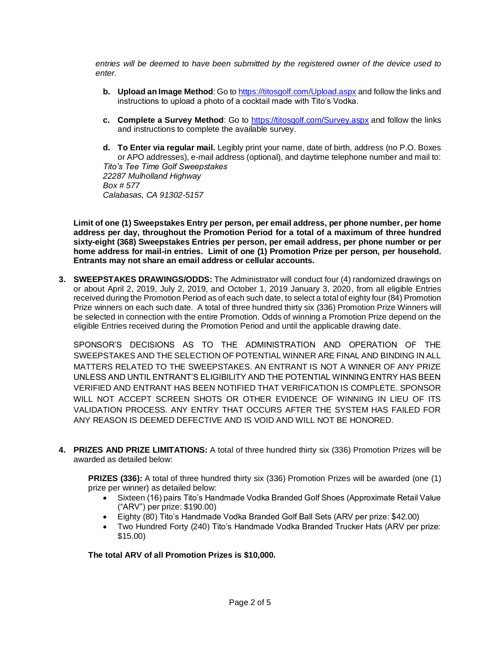*entries will be deemed to have been submitted by the registered owner of the device used to enter.* 

- **b. Upload an Image Method**: Go t[o https://titosgolf.com/Upload.aspx](https://titosgolf.com/Upload.aspx) and follow the links and instructions to upload a photo of a cocktail made with Tito's Vodka.
- **c. Complete a Survey Method**: Go to<https://titosgolf.com/Survey.aspx> and follow the links and instructions to complete the available survey.
- **d. To Enter via regular mail.** Legibly print your name, date of birth, address (no P.O. Boxes or APO addresses), e-mail address (optional), and daytime telephone number and mail to: *Tito's Tee Time Golf Sweepstakes 22287 Mulholland Highway Box # 577 Calabasas, CA 91302-5157*

**Limit of one (1) Sweepstakes Entry per person, per email address, per phone number, per home address per day, throughout the Promotion Period for a total of a maximum of three hundred sixty-eight (368) Sweepstakes Entries per person, per email address, per phone number or per home address for mail-in entries. Limit of one (1) Promotion Prize per person, per household. Entrants may not share an email address or cellular accounts.**

**3. SWEEPSTAKES DRAWINGS/ODDS:** The Administrator will conduct four (4) randomized drawings on or about April 2, 2019, July 2, 2019, and October 1, 2019 January 3, 2020, from all eligible Entries received during the Promotion Period as of each such date, to select a total of eighty four (84) Promotion Prize winners on each such date. A total of three hundred thirty six (336) Promotion Prize Winners will be selected in connection with the entire Promotion. Odds of winning a Promotion Prize depend on the eligible Entries received during the Promotion Period and until the applicable drawing date.

SPONSOR'S DECISIONS AS TO THE ADMINISTRATION AND OPERATION OF THE SWEEPSTAKES AND THE SELECTION OF POTENTIAL WINNER ARE FINAL AND BINDING IN ALL MATTERS RELATED TO THE SWEEPSTAKES. AN ENTRANT IS NOT A WINNER OF ANY PRIZE UNLESS AND UNTIL ENTRANT'S ELIGIBILITY AND THE POTENTIAL WINNING ENTRY HAS BEEN VERIFIED AND ENTRANT HAS BEEN NOTIFIED THAT VERIFICATION IS COMPLETE. SPONSOR WILL NOT ACCEPT SCREEN SHOTS OR OTHER EVIDENCE OF WINNING IN LIEU OF ITS VALIDATION PROCESS. ANY ENTRY THAT OCCURS AFTER THE SYSTEM HAS FAILED FOR ANY REASON IS DEEMED DEFECTIVE AND IS VOID AND WILL NOT BE HONORED.

**4. PRIZES AND PRIZE LIMITATIONS:** A total of three hundred thirty six (336) Promotion Prizes will be awarded as detailed below:

**PRIZES (336):** A total of three hundred thirty six (336) Promotion Prizes will be awarded (one (1) prize per winner) as detailed below:

- Sixteen (16) pairs Tito's Handmade Vodka Branded Golf Shoes (Approximate Retail Value ("ARV") per prize: \$190.00)
- Eighty (80) Tito's Handmade Vodka Branded Golf Ball Sets (ARV per prize: \$42.00)
- Two Hundred Forty (240) Tito's Handmade Vodka Branded Trucker Hats (ARV per prize: \$15.00)

**The total ARV of all Promotion Prizes is \$10,000.**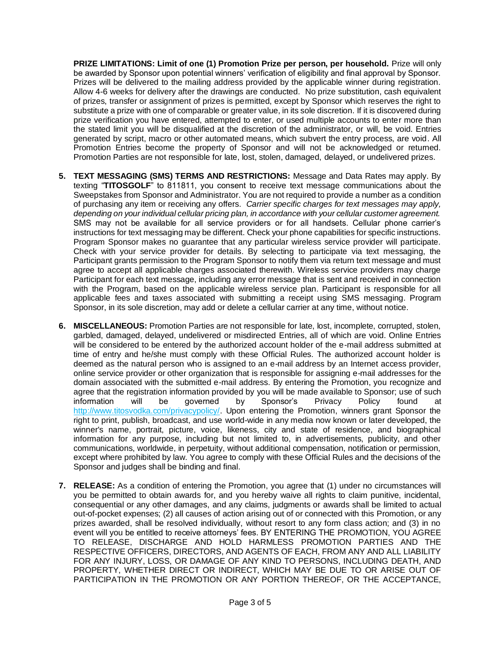**PRIZE LIMITATIONS: Limit of one (1) Promotion Prize per person, per household.** Prize will only be awarded by Sponsor upon potential winners' verification of eligibility and final approval by Sponsor. Prizes will be delivered to the mailing address provided by the applicable winner during registration. Allow 4-6 weeks for delivery after the drawings are conducted. No prize substitution, cash equivalent of prizes, transfer or assignment of prizes is permitted, except by Sponsor which reserves the right to substitute a prize with one of comparable or greater value, in its sole discretion. If it is discovered during prize verification you have entered, attempted to enter, or used multiple accounts to enter more than the stated limit you will be disqualified at the discretion of the administrator, or will, be void. Entries generated by script, macro or other automated means, which subvert the entry process, are void. All Promotion Entries become the property of Sponsor and will not be acknowledged or returned. Promotion Parties are not responsible for late, lost, stolen, damaged, delayed, or undelivered prizes.

- **5. TEXT MESSAGING (SMS) TERMS AND RESTRICTIONS:** Message and Data Rates may apply. By texting "**TITOSGOLF**" to 811811, you consent to receive text message communications about the Sweepstakes from Sponsor and Administrator. You are not required to provide a number as a condition of purchasing any item or receiving any offers. *Carrier specific charges for text messages may apply, depending on your individual cellular pricing plan, in accordance with your cellular customer agreement.* SMS may not be available for all service providers or for all handsets. Cellular phone carrier's instructions for text messaging may be different. Check your phone capabilities for specific instructions. Program Sponsor makes no guarantee that any particular wireless service provider will participate. Check with your service provider for details. By selecting to participate via text messaging, the Participant grants permission to the Program Sponsor to notify them via return text message and must agree to accept all applicable charges associated therewith. Wireless service providers may charge Participant for each text message, including any error message that is sent and received in connection with the Program, based on the applicable wireless service plan. Participant is responsible for all applicable fees and taxes associated with submitting a receipt using SMS messaging. Program Sponsor, in its sole discretion, may add or delete a cellular carrier at any time, without notice.
- **6. MISCELLANEOUS:** Promotion Parties are not responsible for late, lost, incomplete, corrupted, stolen, garbled, damaged, delayed, undelivered or misdirected Entries, all of which are void. Online Entries will be considered to be entered by the authorized account holder of the e-mail address submitted at time of entry and he/she must comply with these Official Rules. The authorized account holder is deemed as the natural person who is assigned to an e-mail address by an Internet access provider, online service provider or other organization that is responsible for assigning e-mail addresses for the domain associated with the submitted e-mail address. By entering the Promotion, you recognize and agree that the registration information provided by you will be made available to Sponsor; use of such information will be governed by Sponsor's Privacy Policy found at [http://www.titosvodka.com/privacypolicy/.](http://www.titosvodka.com/privacypolicy/) Upon entering the Promotion, winners grant Sponsor the right to print, publish, broadcast, and use world-wide in any media now known or later developed, the winner's name, portrait, picture, voice, likeness, city and state of residence, and biographical information for any purpose, including but not limited to, in advertisements, publicity, and other communications, worldwide, in perpetuity, without additional compensation, notification or permission, except where prohibited by law. You agree to comply with these Official Rules and the decisions of the Sponsor and judges shall be binding and final.
- **7. RELEASE:** As a condition of entering the Promotion, you agree that (1) under no circumstances will you be permitted to obtain awards for, and you hereby waive all rights to claim punitive, incidental, consequential or any other damages, and any claims, judgments or awards shall be limited to actual out-of-pocket expenses; (2) all causes of action arising out of or connected with this Promotion, or any prizes awarded, shall be resolved individually, without resort to any form class action; and (3) in no event will you be entitled to receive attorneys' fees. BY ENTERING THE PROMOTION, YOU AGREE TO RELEASE, DISCHARGE AND HOLD HARMLESS PROMOTION PARTIES AND THE RESPECTIVE OFFICERS, DIRECTORS, AND AGENTS OF EACH, FROM ANY AND ALL LIABILITY FOR ANY INJURY, LOSS, OR DAMAGE OF ANY KIND TO PERSONS, INCLUDING DEATH, AND PROPERTY, WHETHER DIRECT OR INDIRECT, WHICH MAY BE DUE TO OR ARISE OUT OF PARTICIPATION IN THE PROMOTION OR ANY PORTION THEREOF, OR THE ACCEPTANCE,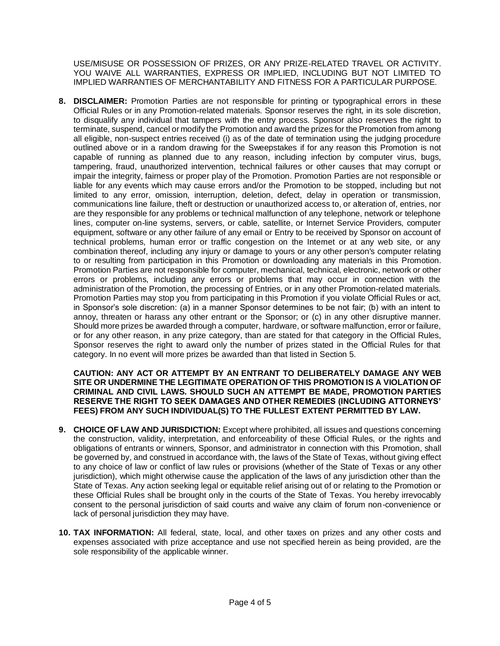USE/MISUSE OR POSSESSION OF PRIZES, OR ANY PRIZE-RELATED TRAVEL OR ACTIVITY. YOU WAIVE ALL WARRANTIES, EXPRESS OR IMPLIED, INCLUDING BUT NOT LIMITED TO IMPLIED WARRANTIES OF MERCHANTABILITY AND FITNESS FOR A PARTICULAR PURPOSE.

**8. DISCLAIMER:** Promotion Parties are not responsible for printing or typographical errors in these Official Rules or in any Promotion-related materials. Sponsor reserves the right, in its sole discretion, to disqualify any individual that tampers with the entry process. Sponsor also reserves the right to terminate, suspend, cancel or modify the Promotion and award the prizes for the Promotion from among all eligible, non-suspect entries received (i) as of the date of termination using the judging procedure outlined above or in a random drawing for the Sweepstakes if for any reason this Promotion is not capable of running as planned due to any reason, including infection by computer virus, bugs, tampering, fraud, unauthorized intervention, technical failures or other causes that may corrupt or impair the integrity, fairness or proper play of the Promotion. Promotion Parties are not responsible or liable for any events which may cause errors and/or the Promotion to be stopped, including but not limited to any error, omission, interruption, deletion, defect, delay in operation or transmission, communications line failure, theft or destruction or unauthorized access to, or alteration of, entries, nor are they responsible for any problems or technical malfunction of any telephone, network or telephone lines, computer on-line systems, servers, or cable, satellite, or Internet Service Providers, computer equipment, software or any other failure of any email or Entry to be received by Sponsor on account of technical problems, human error or traffic congestion on the Internet or at any web site, or any combination thereof, including any injury or damage to yours or any other person's computer relating to or resulting from participation in this Promotion or downloading any materials in this Promotion. Promotion Parties are not responsible for computer, mechanical, technical, electronic, network or other errors or problems, including any errors or problems that may occur in connection with the administration of the Promotion, the processing of Entries, or in any other Promotion-related materials. Promotion Parties may stop you from participating in this Promotion if you violate Official Rules or act, in Sponsor's sole discretion: (a) in a manner Sponsor determines to be not fair; (b) with an intent to annoy, threaten or harass any other entrant or the Sponsor; or (c) in any other disruptive manner. Should more prizes be awarded through a computer, hardware, or software malfunction, error or failure, or for any other reason, in any prize category, than are stated for that category in the Official Rules, Sponsor reserves the right to award only the number of prizes stated in the Official Rules for that category. In no event will more prizes be awarded than that listed in Section 5.

## **CAUTION: ANY ACT OR ATTEMPT BY AN ENTRANT TO DELIBERATELY DAMAGE ANY WEB SITE OR UNDERMINE THE LEGITIMATE OPERATION OF THIS PROMOTION IS A VIOLATION OF CRIMINAL AND CIVIL LAWS. SHOULD SUCH AN ATTEMPT BE MADE, PROMOTION PARTIES RESERVE THE RIGHT TO SEEK DAMAGES AND OTHER REMEDIES (INCLUDING ATTORNEYS' FEES) FROM ANY SUCH INDIVIDUAL(S) TO THE FULLEST EXTENT PERMITTED BY LAW.**

- **9. CHOICE OF LAW AND JURISDICTION:** Except where prohibited, all issues and questions concerning the construction, validity, interpretation, and enforceability of these Official Rules, or the rights and obligations of entrants or winners, Sponsor, and administrator in connection with this Promotion, shall be governed by, and construed in accordance with, the laws of the State of Texas, without giving effect to any choice of law or conflict of law rules or provisions (whether of the State of Texas or any other jurisdiction), which might otherwise cause the application of the laws of any jurisdiction other than the State of Texas. Any action seeking legal or equitable relief arising out of or relating to the Promotion or these Official Rules shall be brought only in the courts of the State of Texas. You hereby irrevocably consent to the personal jurisdiction of said courts and waive any claim of forum non-convenience or lack of personal jurisdiction they may have.
- **10. TAX INFORMATION:** All federal, state, local, and other taxes on prizes and any other costs and expenses associated with prize acceptance and use not specified herein as being provided, are the sole responsibility of the applicable winner.